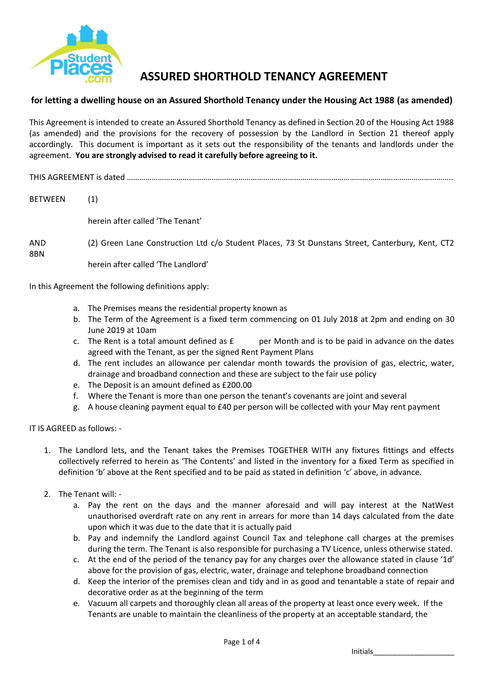

## **ASSURED SHORTHOLD TENANCY AGREEMENT**

## **for letting a dwelling house on an Assured Shorthold Tenancy under the Housing Act 1988 (as amended)**

This Agreement is intended to create an Assured Shorthold Tenancy as defined in Section 20 of the Housing Act 1988 (as amended) and the provisions for the recovery of possession by the Landlord in Section 21 thereof apply accordingly. This document is important as it sets out the responsibility of the tenants and landlords under the agreement. **You are strongly advised to read it carefully before agreeing to it.**

THIS AGREEMENT is dated …………………………………………………………………………………………………………………………………………..

BETWEEN (1)

herein after called 'The Tenant'

AND (2) Green Lane Construction Ltd c/o Student Places, 73 St Dunstans Street, Canterbury, Kent, CT2 8BN

herein after called 'The Landlord'

In this Agreement the following definitions apply:

- a. The Premises means the residential property known as
- b. The Term of the Agreement is a fixed term commencing on 01 July 2018 at 2pm and ending on 30 June 2019 at 10am
- c. The Rent is a total amount defined as  $E$  per Month and is to be paid in advance on the dates agreed with the Tenant, as per the signed Rent Payment Plans
- d. The rent includes an allowance per calendar month towards the provision of gas, electric, water, drainage and broadband connection and these are subject to the fair use policy
- e. The Deposit is an amount defined as £200.00
- f. Where the Tenant is more than one person the tenant's covenants are joint and several
- g. A house cleaning payment equal to £40 per person will be collected with your May rent payment

IT IS AGREED as follows: -

- 1. The Landlord lets, and the Tenant takes the Premises TOGETHER WITH any fixtures fittings and effects collectively referred to herein as 'The Contents' and listed in the inventory for a fixed Term as specified in definition 'b' above at the Rent specified and to be paid as stated in definition 'c' above, in advance.
- 2. The Tenant will:
	- a. Pay the rent on the days and the manner aforesaid and will pay interest at the NatWest unauthorised overdraft rate on any rent in arrears for more than 14 days calculated from the date upon which it was due to the date that it is actually paid
	- b. Pay and indemnify the Landlord against Council Tax and telephone call charges at the premises during the term. The Tenant is also responsible for purchasing a TV Licence, unless otherwise stated.
	- c. At the end of the period of the tenancy pay for any charges over the allowance stated in clause '1d' above for the provision of gas, electric, water, drainage and telephone broadband connection
	- d. Keep the interior of the premises clean and tidy and in as good and tenantable a state of repair and decorative order as at the beginning of the term
	- e. Vacuum all carpets and thoroughly clean all areas of the property at least once every week. If the Tenants are unable to maintain the cleanliness of the property at an acceptable standard, the

Initials\_\_\_\_\_\_\_\_\_\_\_\_\_\_\_\_\_\_\_\_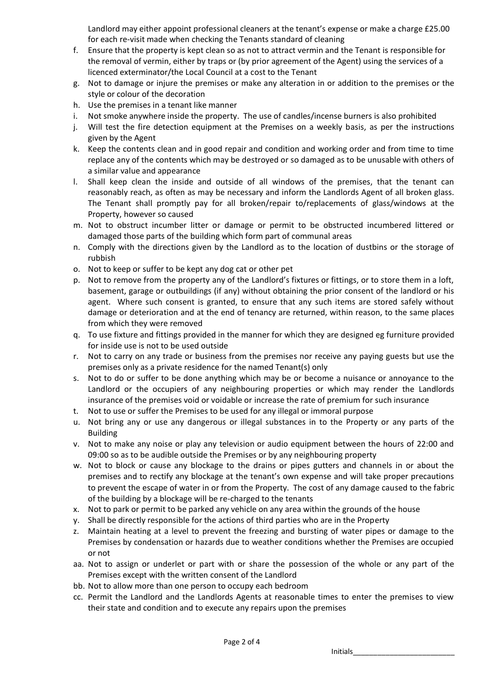Landlord may either appoint professional cleaners at the tenant's expense or make a charge £25.00 for each re-visit made when checking the Tenants standard of cleaning

- f. Ensure that the property is kept clean so as not to attract vermin and the Tenant is responsible for the removal of vermin, either by traps or (by prior agreement of the Agent) using the services of a licenced exterminator/the Local Council at a cost to the Tenant
- g. Not to damage or injure the premises or make any alteration in or addition to the premises or the style or colour of the decoration
- h. Use the premises in a tenant like manner
- i. Not smoke anywhere inside the property. The use of candles/incense burners is also prohibited
- j. Will test the fire detection equipment at the Premises on a weekly basis, as per the instructions given by the Agent
- k. Keep the contents clean and in good repair and condition and working order and from time to time replace any of the contents which may be destroyed or so damaged as to be unusable with others of a similar value and appearance
- l. Shall keep clean the inside and outside of all windows of the premises, that the tenant can reasonably reach, as often as may be necessary and inform the Landlords Agent of all broken glass. The Tenant shall promptly pay for all broken/repair to/replacements of glass/windows at the Property, however so caused
- m. Not to obstruct incumber litter or damage or permit to be obstructed incumbered littered or damaged those parts of the building which form part of communal areas
- n. Comply with the directions given by the Landlord as to the location of dustbins or the storage of rubbish
- o. Not to keep or suffer to be kept any dog cat or other pet
- p. Not to remove from the property any of the Landlord's fixtures or fittings, or to store them in a loft, basement, garage or outbuildings (if any) without obtaining the prior consent of the landlord or his agent. Where such consent is granted, to ensure that any such items are stored safely without damage or deterioration and at the end of tenancy are returned, within reason, to the same places from which they were removed
- q. To use fixture and fittings provided in the manner for which they are designed eg furniture provided for inside use is not to be used outside
- r. Not to carry on any trade or business from the premises nor receive any paying guests but use the premises only as a private residence for the named Tenant(s) only
- s. Not to do or suffer to be done anything which may be or become a nuisance or annoyance to the Landlord or the occupiers of any neighbouring properties or which may render the Landlords insurance of the premises void or voidable or increase the rate of premium for such insurance
- t. Not to use or suffer the Premises to be used for any illegal or immoral purpose
- u. Not bring any or use any dangerous or illegal substances in to the Property or any parts of the Building
- v. Not to make any noise or play any television or audio equipment between the hours of 22:00 and 09:00 so as to be audible outside the Premises or by any neighbouring property
- w. Not to block or cause any blockage to the drains or pipes gutters and channels in or about the premises and to rectify any blockage at the tenant's own expense and will take proper precautions to prevent the escape of water in or from the Property. The cost of any damage caused to the fabric of the building by a blockage will be re-charged to the tenants
- x. Not to park or permit to be parked any vehicle on any area within the grounds of the house
- y. Shall be directly responsible for the actions of third parties who are in the Property
- z. Maintain heating at a level to prevent the freezing and bursting of water pipes or damage to the Premises by condensation or hazards due to weather conditions whether the Premises are occupied or not
- aa. Not to assign or underlet or part with or share the possession of the whole or any part of the Premises except with the written consent of the Landlord
- bb. Not to allow more than one person to occupy each bedroom
- cc. Permit the Landlord and the Landlords Agents at reasonable times to enter the premises to view their state and condition and to execute any repairs upon the premises

Initials\_\_\_\_\_\_\_\_\_\_\_\_\_\_\_\_\_\_\_\_\_\_\_\_\_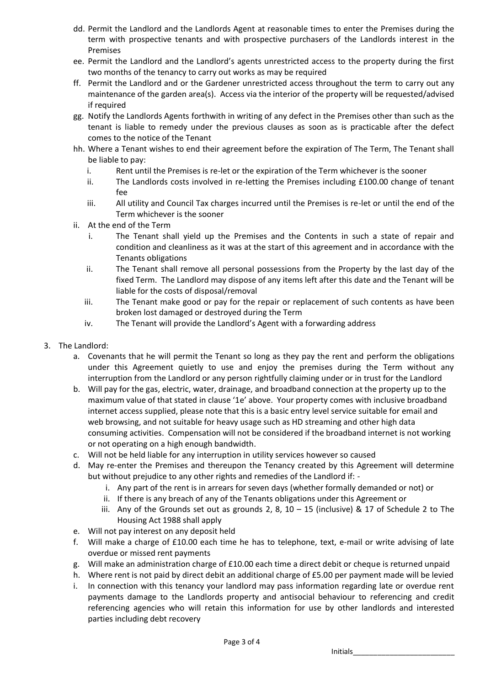- dd. Permit the Landlord and the Landlords Agent at reasonable times to enter the Premises during the term with prospective tenants and with prospective purchasers of the Landlords interest in the Premises
- ee. Permit the Landlord and the Landlord's agents unrestricted access to the property during the first two months of the tenancy to carry out works as may be required
- ff. Permit the Landlord and or the Gardener unrestricted access throughout the term to carry out any maintenance of the garden area(s). Access via the interior of the property will be requested/advised if required
- gg. Notify the Landlords Agents forthwith in writing of any defect in the Premises other than such as the tenant is liable to remedy under the previous clauses as soon as is practicable after the defect comes to the notice of the Tenant
- hh. Where a Tenant wishes to end their agreement before the expiration of The Term, The Tenant shall be liable to pay:
	- i. Rent until the Premises is re-let or the expiration of the Term whichever is the sooner
	- ii. The Landlords costs involved in re-letting the Premises including £100.00 change of tenant fee
	- iii. All utility and Council Tax charges incurred until the Premises is re-let or until the end of the Term whichever is the sooner
- ii. At the end of the Term
	- i. The Tenant shall yield up the Premises and the Contents in such a state of repair and condition and cleanliness as it was at the start of this agreement and in accordance with the Tenants obligations
	- ii. The Tenant shall remove all personal possessions from the Property by the last day of the fixed Term. The Landlord may dispose of any items left after this date and the Tenant will be liable for the costs of disposal/removal
	- iii. The Tenant make good or pay for the repair or replacement of such contents as have been broken lost damaged or destroyed during the Term
	- iv. The Tenant will provide the Landlord's Agent with a forwarding address
- 3. The Landlord:
	- a. Covenants that he will permit the Tenant so long as they pay the rent and perform the obligations under this Agreement quietly to use and enjoy the premises during the Term without any interruption from the Landlord or any person rightfully claiming under or in trust for the Landlord
	- b. Will pay for the gas, electric, water, drainage, and broadband connection at the property up to the maximum value of that stated in clause '1e' above. Your property comes with inclusive broadband internet access supplied, please note that this is a basic entry level service suitable for email and web browsing, and not suitable for heavy usage such as HD streaming and other high data consuming activities. Compensation will not be considered if the broadband internet is not working or not operating on a high enough bandwidth.
	- c. Will not be held liable for any interruption in utility services however so caused
	- d. May re-enter the Premises and thereupon the Tenancy created by this Agreement will determine but without prejudice to any other rights and remedies of the Landlord if:
		- i. Any part of the rent is in arrears for seven days (whether formally demanded or not) or
		- ii. If there is any breach of any of the Tenants obligations under this Agreement or
		- iii. Any of the Grounds set out as grounds 2, 8,  $10 15$  (inclusive) & 17 of Schedule 2 to The Housing Act 1988 shall apply
	- e. Will not pay interest on any deposit held
	- f. Will make a charge of £10.00 each time he has to telephone, text, e-mail or write advising of late overdue or missed rent payments
	- g. Will make an administration charge of £10.00 each time a direct debit or cheque is returned unpaid
	- h. Where rent is not paid by direct debit an additional charge of £5.00 per payment made will be levied
	- i. In connection with this tenancy your landlord may pass information regarding late or overdue rent payments damage to the Landlords property and antisocial behaviour to referencing and credit referencing agencies who will retain this information for use by other landlords and interested parties including debt recovery

Initials\_\_\_\_\_\_\_\_\_\_\_\_\_\_\_\_\_\_\_\_\_\_\_\_\_